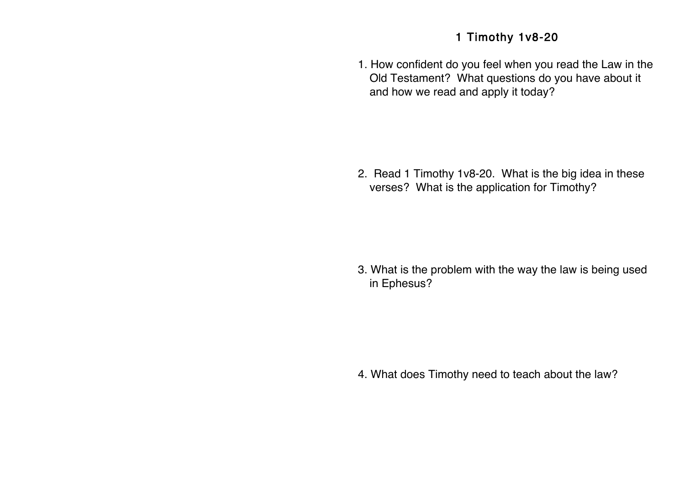## 1 Timothy 1v8-20

1. How confident do you feel when you read the Law in the Old Testament? What questions do you have about it and how we read and apply it today?

2. Read 1 Timothy 1v8-20. What is the big idea in these verses? What is the application for Timothy?

3. What is the problem with the way the law is being used in Ephesus?

4. What does Timothy need to teach about the law?